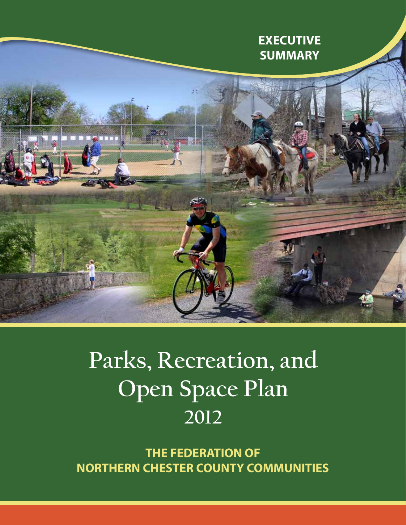### **EXECUTIVE SUMMARY**



# **Parks, Recreation, and Open Space Plan 2012**

**THE FEDERATION OF NORTHERN CHESTER COUNTY COMMUNITIES**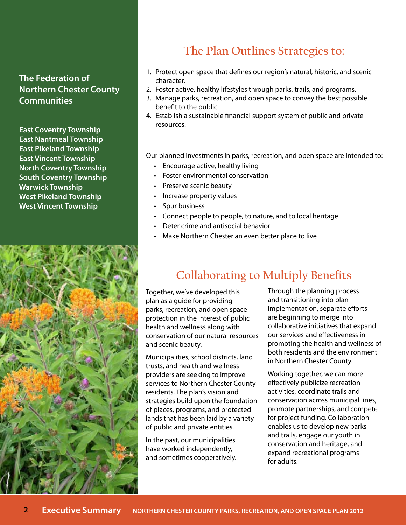#### **The Federation of Northern Chester County Communities**

**East Coventry Township East Nantmeal Township East Pikeland Township East Vincent Township North Coventry Township South Coventry Township Warwick Township West Pikeland Township West Vincent Township** 



### **The Plan Outlines Strategies to:**

- 1. Protect open space that defines our region's natural, historic, and scenic character.
- 2. Foster active, healthy lifestyles through parks, trails, and programs.
- 3. Manage parks, recreation, and open space to convey the best possible benefit to the public.
- 4. Establish a sustainable financial support system of public and private resources.

Our planned investments in parks, recreation, and open space are intended to:

- Encourage active, healthy living
- Foster environmental conservation
- • Preserve scenic beauty
- Increase property values
- Spur business
- Connect people to people, to nature, and to local heritage
- • Deter crime and antisocial behavior
- Make Northern Chester an even better place to live

### **Collaborating to Multiply Benefits**

Together, we've developed this plan as a guide for providing parks, recreation, and open space protection in the interest of public health and wellness along with conservation of our natural resources and scenic beauty.

Municipalities, school districts, land trusts, and health and wellness providers are seeking to improve services to Northern Chester County residents. The plan's vision and strategies build upon the foundation of places, programs, and protected lands that has been laid by a variety of public and private entities.

In the past, our municipalities have worked independently, and sometimes cooperatively. Through the planning process and transitioning into plan implementation, separate efforts are beginning to merge into collaborative initiatives that expand our services and effectiveness in promoting the health and wellness of both residents and the environment in Northern Chester County.

Working together, we can more effectively publicize recreation activities, coordinate trails and conservation across municipal lines, promote partnerships, and compete for project funding. Collaboration enables us to develop new parks and trails, engage our youth in conservation and heritage, and expand recreational programs for adults.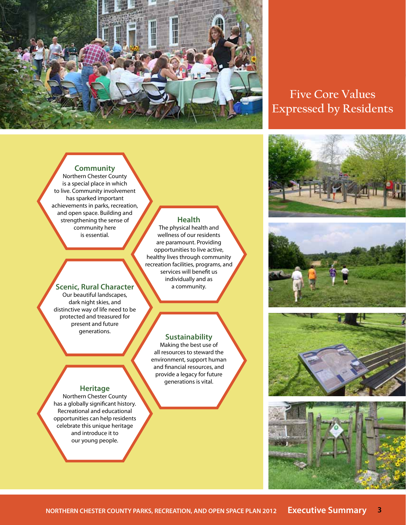

### **Five Core Values Expressed by Residents**



Northern Chester County is a special place in which to live. Community involvement has sparked important achievements in parks, recreation, and open space. Building and strengthening the sense of community here is essential.

#### **Health**

The physical health and wellness of our residents are paramount. Providing opportunities to live active, healthy lives through community recreation facilities, programs, and services will benefit us individually and as a community.

#### **Scenic, Rural Character**

Our beautiful landscapes, dark night skies, and distinctive way of life need to be protected and treasured for present and future generations.

#### **Heritage**

Northern Chester County has a globally significant history. Recreational and educational opportunities can help residents celebrate this unique heritage and introduce it to our young people.

#### **Sustainability**

Making the best use of all resources to steward the environment, support human and financial resources, and provide a legacy for future generations is vital.







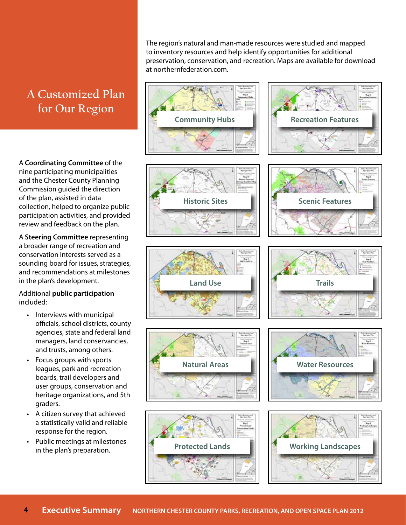**A Customized Plan for Our Region**

A **Coordinating Committee** of the nine participating municipalities and the Chester County Planning Commission guided the direction of the plan, assisted in data collection, helped to organize public participation activities, and provided review and feedback on the plan.

A **Steering Committee** representing a broader range of recreation and conservation interests served as a sounding board for issues, strategies, and recommendations at milestones in the plan's development.

Additional **public participation**  included:

- • Interviews with municipal officials, school districts, county agencies, state and federal land managers, land conservancies, and trusts, among others.
- • Focus groups with sports leagues, park and recreation boards, trail developers and user groups, conservation and heritage organizations, and 5th graders.
- A citizen survey that achieved a statistically valid and reliable response for the region.
- • Public meetings at milestones in the plan's preparation.

The region's natural and man-made resources were studied and mapped to inventory resources and help identify opportunities for additional preservation, conservation, and recreation. Maps are available for download at northernfederation.com.

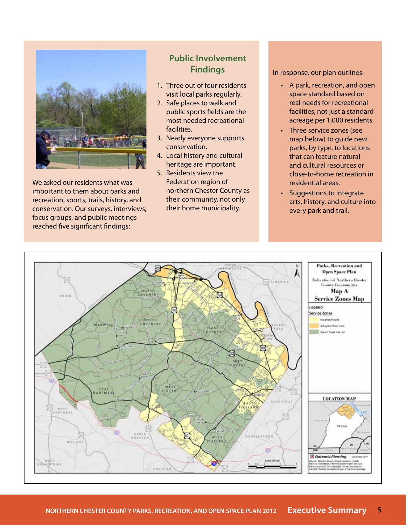

We asked our residents what was important to them about parks and recreation, sports, trails, history, and conservation. Our surveys, interviews, focus groups, and public meetings reached five significant findings:

#### **Public Involvement Findings**

- 1. Three out of four residents visit local parks regularly.
- 2. Safe places to walk and public sports fields are the most needed recreational facilities.
- 3. Nearly everyone supports conservation.
- 4. Local history and cultural heritage are important.
- 5. Residents view the Federation region of northern Chester County as their community, not only their home municipality.

In response, our plan outlines:

- • A park, recreation, and open space standard based on real needs for recreational facilities, not just a standard acreage per 1,000 residents.
- • Three service zones (see map below) to guide new parks, by type, to locations that can feature natural and cultural resources or close-to-home recreation in residential areas.
- • Suggestions to integrate arts, history, and culture into every park and trail.

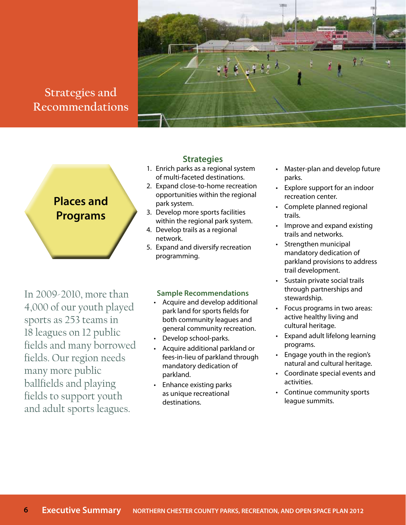

### **Strategies and Recommendations**

### **Places and Programs**

In 2009-2010, more than 4,000 of our youth played sports as 253 teams in 18 leagues on 12 public fields and many borrowed fields. Our region needs many more public ballfields and playing fields to support youth and adult sports leagues.

#### **Strategies**

- 1. Enrich parks as a regional system of multi-faceted destinations.
- 2. Expand close-to-home recreation opportunities within the regional park system.
- 3. Develop more sports facilities within the regional park system.
- 4. Develop trails as a regional network.
- 5. Expand and diversify recreation programming.

- • Acquire and develop additional park land for sports fields for both community leagues and general community recreation.
- • Develop school-parks.
- Acquire additional parkland or fees-in-lieu of parkland through mandatory dedication of parkland.
- **Enhance existing parks** as unique recreational destinations.
- Master-plan and develop future parks.
- Explore support for an indoor recreation center.
- • Complete planned regional trails.
- Improve and expand existing trails and networks.
- Strengthen municipal mandatory dedication of parkland provisions to address trail development.
- Sustain private social trails through partnerships and stewardship.
- Focus programs in two areas: active healthy living and cultural heritage.
- Expand adult lifelong learning programs.
- Engage youth in the region's natural and cultural heritage.
- • Coordinate special events and activities.
- Continue community sports league summits.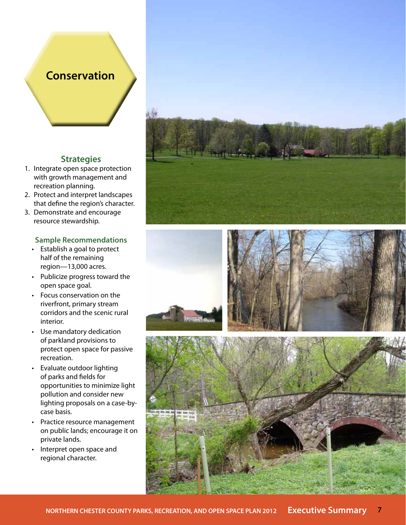### **Conservation**

#### **Strategies**

- 1. Integrate open space protection with growth management and recreation planning.
- 2. Protect and interpret landscapes that define the region's character.
- 3. Demonstrate and encourage resource stewardship.

- • Establish a goal to protect half of the remaining region—13,000 acres.
- • Publicize progress toward the open space goal.
- • Focus conservation on the riverfront, primary stream corridors and the scenic rural interior.
- • Use mandatory dedication of parkland provisions to protect open space for passive recreation.
- • Evaluate outdoor lighting of parks and fields for opportunities to minimize light pollution and consider new lighting proposals on a case-bycase basis.
- Practice resource management on public lands; encourage it on private lands.
- Interpret open space and regional character.





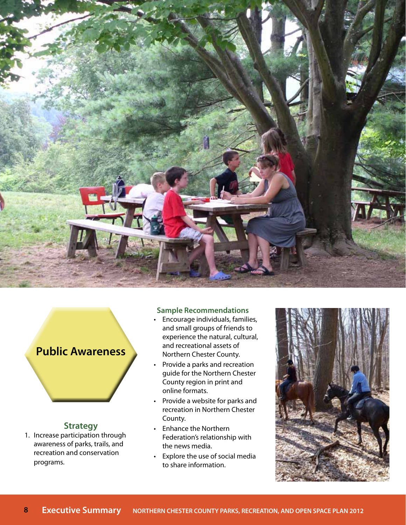

## **Public Awareness**

#### **Strategy**

1. Increase participation through awareness of parks, trails, and recreation and conservation programs.

- • Encourage individuals, families, and small groups of friends to experience the natural, cultural, and recreational assets of Northern Chester County.
- • Provide a parks and recreation guide for the Northern Chester County region in print and online formats.
- • Provide a website for parks and recreation in Northern Chester County.
- • Enhance the Northern Federation's relationship with the news media.
- • Explore the use of social media to share information.

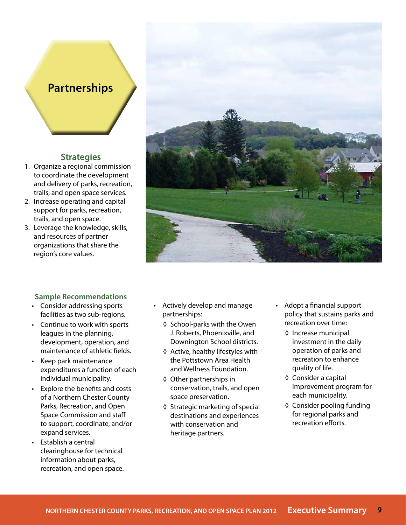#### **Partnerships**

#### **Strategies**

- 1. Organize a regional commission to coordinate the development and delivery of parks, recreation, trails, and open space services.
- 2. Increase operating and capital support for parks, recreation, trails, and open space.
- 3. Leverage the knowledge, skills, and resources of partner organizations that share the region's core values.

- • Consider addressing sports facilities as two sub-regions.
- • Continue to work with sports leagues in the planning, development, operation, and maintenance of athletic fields.
- • Keep park maintenance expenditures a function of each individual municipality.
- • Explore the benefits and costs of a Northern Chester County Parks, Recreation, and Open Space Commission and staff to support, coordinate, and/or expand services.
- Establish a central clearinghouse for technical information about parks, recreation, and open space.



- • Actively develop and manage partnerships:
	- ◊ School-parks with the Owen J. Roberts, Phoenixville, and Downington School districts.
	- ◊ Active, healthy lifestyles with the Pottstown Area Health and Wellness Foundation.
	- ◊ Other partnerships in conservation, trails, and open space preservation.
	- ◊ Strategic marketing of special destinations and experiences with conservation and heritage partners.
- Adopt a financial support policy that sustains parks and recreation over time:
	- ◊ Increase municipal investment in the daily operation of parks and recreation to enhance quality of life.
	- ◊ Consider a capital improvement program for each municipality.
	- ◊ Consider pooling funding for regional parks and recreation efforts.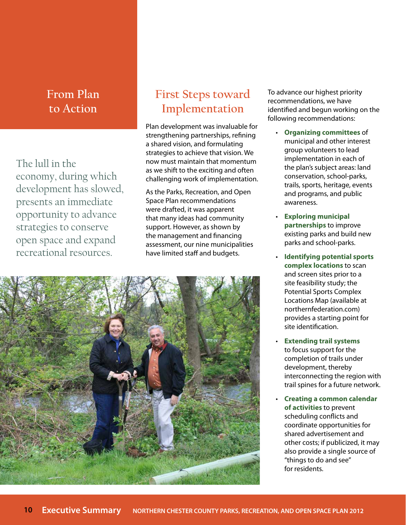### **From Plan to Action**

The lull in the economy, during which development has slowed, presents an immediate opportunity to advance strategies to conserve open space and expand recreational resources.

### **First Steps toward Implementation**

Plan development was invaluable for strengthening partnerships, refining a shared vision, and formulating strategies to achieve that vision. We now must maintain that momentum as we shift to the exciting and often challenging work of implementation.

As the Parks, Recreation, and Open Space Plan recommendations were drafted, it was apparent that many ideas had community support. However, as shown by the management and financing assessment, our nine municipalities have limited staff and budgets.



To advance our highest priority recommendations, we have identified and begun working on the following recommendations:

- **Organizing committees of** municipal and other interest group volunteers to lead implementation in each of the plan's subject areas: land conservation, school-parks, trails, sports, heritage, events and programs, and public awareness.
- **Exploring municipal partnerships** to improve existing parks and build new parks and school-parks.
- **Identifying potential sports complex locations** to scan and screen sites prior to a site feasibility study; the Potential Sports Complex Locations Map (available at northernfederation.com) provides a starting point for site identification.
- **Extending trail systems** to focus support for the completion of trails under development, thereby interconnecting the region with trail spines for a future network.
- **Creating a common calendar of activities** to prevent scheduling conflicts and coordinate opportunities for shared advertisement and other costs; if publicized, it may also provide a single source of "things to do and see" for residents.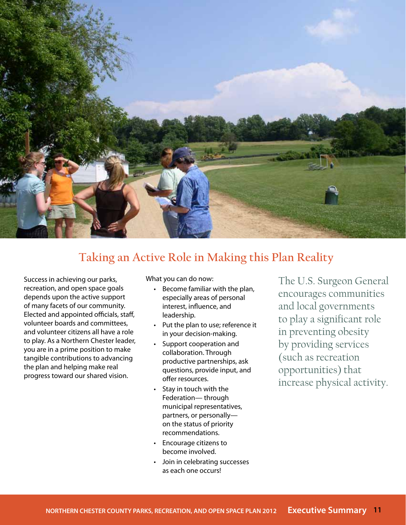

### **Taking an Active Role in Making this Plan Reality**

Success in achieving our parks, recreation, and open space goals depends upon the active support of many facets of our community. Elected and appointed officials, staff, volunteer boards and committees, and volunteer citizens all have a role to play. As a Northern Chester leader, you are in a prime position to make tangible contributions to advancing the plan and helping make real progress toward our shared vision.

What you can do now:

- • Become familiar with the plan, especially areas of personal interest, influence, and leadership.
- Put the plan to use; reference it in your decision-making.
- Support cooperation and collaboration. Through productive partnerships, ask questions, provide input, and offer resources.
- • Stay in touch with the Federation— through municipal representatives, partners, or personally on the status of priority recommendations.
- **Encourage citizens to** become involved.
- Join in celebrating successes as each one occurs!

The U.S. Surgeon General encourages communities and local governments to play a significant role in preventing obesity by providing services (such as recreation opportunities) that increase physical activity.